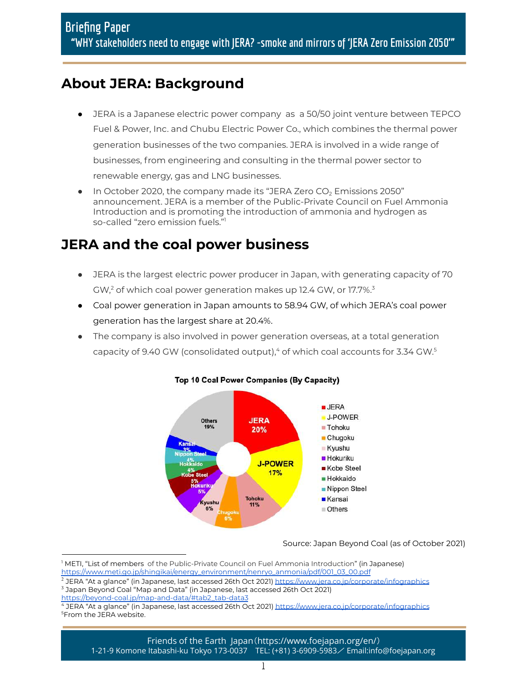# **About JERA: Background**

- JERA is a Japanese electric power company as a 50/50 joint venture between TEPCO Fuel & Power, Inc. and Chubu Electric Power Co., which combines the thermal power generation businesses of the two companies. JERA is involved in a wide range of businesses, from engineering and consulting in the thermal power sector to renewable energy, gas and LNG businesses.
- In October 2020, the company made its "JERA Zero  $CO<sub>2</sub>$  Emissions 2050" announcement. JERA is a member of the Public-Private Council on Fuel Ammonia Introduction and is promoting the introduction of ammonia and hydrogen as so-called "zero emission fuels." 1

## **JERA and the coal power business**

- JERA is the largest electric power producer in Japan, with generating capacity of 70 GW, $^2$  of which coal power generation makes up 12.4 GW, or 17.7%. $^3$
- Coal power generation in Japan amounts to 58.94 GW, of which JERA's coal power generation has the largest share at 20.4%.
- The company is also involved in power generation overseas, at a total generation capacity of 9.40 GW (consolidated output), $^4$  of which coal accounts for 3.34 GW. $^5$



#### Top 10 Coal Power Companies (By Capacity)

Source: Japan Beyond Coal (as of October 2021)

[https://beyond-coal.jp/map-and-data/#tab2\\_tab-data3](https://beyond-coal.jp/map-and-data/#tab2_tab-data3)

Friends of the Earth Japan(https://www.foejapan.org/en/) 1-21-9 Komone Itabashi-ku Tokyo 173-0037 TEL: (+81) 3-6909-5983/ Email:info@foejapan.org

<sup>1</sup> METI, "List of members of the Public-Private Council on Fuel Ammonia Introduction" (in Japanese) [https://www.meti.go.jp/shingikai/energy\\_environment/nenryo\\_anmonia/pdf/001\\_03\\_00.pdf](https://www.meti.go.jp/shingikai/energy_environment/nenryo_anmonia/pdf/001_03_00.pdf)

<sup>3</sup> Japan Beyond Coal "Map and Data" (in Japanese, last accessed 26th Oct 2021)  $^2$  JERA "At a glance" (in Japanese, last accessed 26th Oct 2021) <u><https://www.jera.co.jp/corporate/infographics></u>

<sup>5</sup>From the JERA website. JERA "At a glance" (in Japanese, last accessed 26th Oct 2021) <https://www.jera.co.jp/corporate/infographics>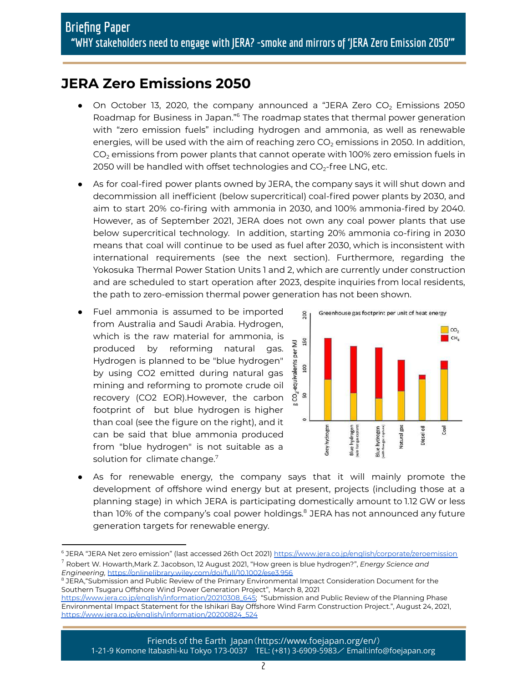## **JERA Zero Emissions 2050**

- On October 13, 2020, the company announced a "JERA Zero  $CO<sub>2</sub>$  Emissions 2050 Roadmap for Business in Japan."<sup>6</sup> The roadmap states that thermal power generation with "zero emission fuels" including hydrogen and ammonia, as well as renewable energies, will be used with the aim of reaching zero  $CO<sub>2</sub>$  emissions in 2050. In addition,  $CO<sub>2</sub>$  emissions from power plants that cannot operate with 100% zero emission fuels in 2050 will be handled with offset technologies and  $CO<sub>2</sub>$ -free LNG, etc.
- As for coal-fired power plants owned by JERA, the company says it will shut down and decommission all inefficient (below supercritical) coal-fired power plants by 2030, and aim to start 20% co-firing with ammonia in 2030, and 100% ammonia-fired by 2040. However, as of September 2021, JERA does not own any coal power plants that use below supercritical technology. In addition, starting 20% ammonia co-firing in 2030 means that coal will continue to be used as fuel after 2030, which is inconsistent with international requirements (see the next section). Furthermore, regarding the Yokosuka Thermal Power Station Units 1 and 2, which are currently under construction and are scheduled to start operation after 2023, despite inquiries from local residents, the path to zero-emission thermal power generation has not been shown.
- Fuel ammonia is assumed to be imported from Australia and Saudi Arabia. Hydrogen, which is the raw material for ammonia, is produced by reforming natural gas. Hydrogen is planned to be "blue hydrogen" by using CO2 emitted during natural gas mining and reforming to promote crude oil recovery (CO2 EOR).However, the carbon footprint of but blue hydrogen is higher than coal (see the figure on the right), and it can be said that blue ammonia produced from "blue hydrogen" is not suitable as a solution for climate change. $7$



● As for renewable energy, the company says that it will mainly promote the development of offshore wind energy but at present, projects (including those at a planning stage) in which JERA is participating domestically amount to 1.12 GW or less than 10% of the company's coal power holdings.<sup>8</sup> JERA has not announced any future generation targets for renewable energy.

<sup>7</sup> Robert W. Howarth,Mark Z. Jacobson, 12 August 2021, "How green is blue hydrogen?", *Energy Science and* <sup>6</sup> JERA "JERA Net zero emission" (last accessed 26th Oct 2021) <https://www.jera.co.jp/english/corporate/zeroemission>

*Engineering,* <https://onlinelibrary.wiley.com/doi/full/10.1002/ese3.956>

 $^8$  JERA,"Submission and Public Review of the Primary Environmental Impact Consideration Document for the Southern Tsugaru Offshore Wind Power Generation Project", March 8, 2021

[https://www.jera.co.jp/english/information/20210308\\_645;](https://www.jera.co.jp/english/information/20210308_645) "Submission and Public Review of the Planning Phase Environmental Impact Statement for the Ishikari Bay Offshore Wind Farm Construction Project.", August 24, 2021, [https://www.jera.co.jp/english/information/20200824\\_524](https://www.jera.co.jp/english/information/20200824_524)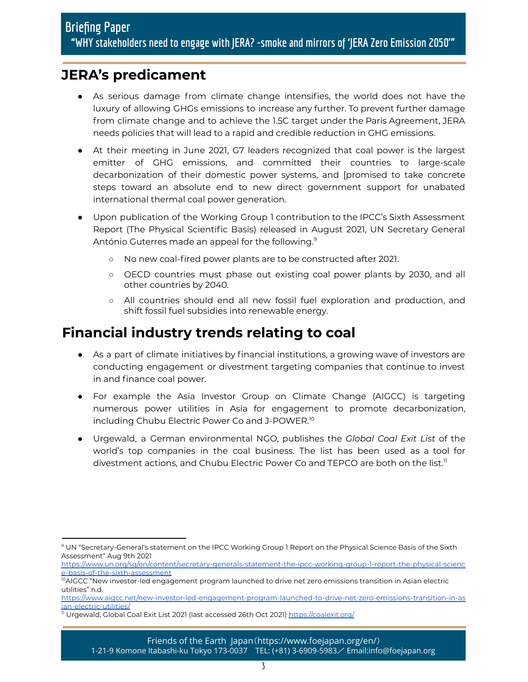## **JERA's predicament**

- As serious damage from climate change intensifies, the world does not have the luxury of allowing GHGs emissions to increase any further. To prevent further damage from climate change and to achieve the 1.5C target under the Paris Agreement, JERA needs policies that will lead to a rapid and credible reduction in GHG emissions.
- At their meeting in June 2021, G7 leaders recognized that coal power is the largest emitter of GHG emissions, and committed their countries to large-scale decarbonization of their domestic power systems, and [promised to take concrete steps toward an absolute end to new direct government support for unabated international thermal coal power generation.
- Upon publication of the Working Group 1 contribution to the IPCC's Sixth Assessment Report (The Physical Scientific Basis) released in August 2021, UN Secretary General António Guterres made an appeal for the following. 9
	- No new coal-fired power plants are to be constructed after 2021.
	- OECD countries must phase out existing coal power plants by 2030, and all other countries by 2040.
	- All countries should end all new fossil fuel exploration and production, and shift fossil fuel subsidies into renewable energy.

## **Financial industry trends relating to coal**

- As a part of climate initiatives by financial institutions, a growing wave of investors are conducting engagement or divestment targeting companies that continue to invest in and finance coal power.
- For example the Asia Investor Group on Climate Change (AIGCC) is targeting numerous power utilities in Asia for engagement to promote decarbonization, including Chubu Electric Power Co and J-POWER. 10
- Urgewald, a German environmental NGO, publishes the *Global Coal Exit List* of the world's top companies in the coal business. The list has been used as a tool for divestment actions, and Chubu Electric Power Co and TEPCO are both on the list.<sup>11</sup>

<sup>9</sup> UN "Secretary-General's statement on the IPCC Working Group 1 Report on the Physical Science Basis of the Sixth Assessment" Aug 9th 2021

[https://www.un.org/sg/en/content/secretary-generals-statement-the-ipcc-working-group-1-report-the-physical-scienc](https://www.un.org/sg/en/content/secretary-generals-statement-the-ipcc-working-group-1-report-the-physical-science-basis-of-the-sixth-assessment) [e-basis-of-the-sixth-assessment](https://www.un.org/sg/en/content/secretary-generals-statement-the-ipcc-working-group-1-report-the-physical-science-basis-of-the-sixth-assessment)

<sup>&</sup>lt;sup>10</sup>AIGCC "New investor-led engagement program launched to drive net zero emissions transition in Asian electric utilities" n.d.

[https://www.aigcc.net/new-investor-led-engagement-program-launched-to-drive-net-zero-emissions-transition-in-as](https://www.aigcc.net/new-investor-led-engagement-program-launched-to-drive-net-zero-emissions-transition-in-asian-electric-utilities/) [ian-electric-utilities/](https://www.aigcc.net/new-investor-led-engagement-program-launched-to-drive-net-zero-emissions-transition-in-asian-electric-utilities/)

<sup>&</sup>lt;sup>11</sup> Urgewald, Global Coal Exit List 2021 (last accessed 26th Oct 2021) <u><https://coalexit.org/></u>